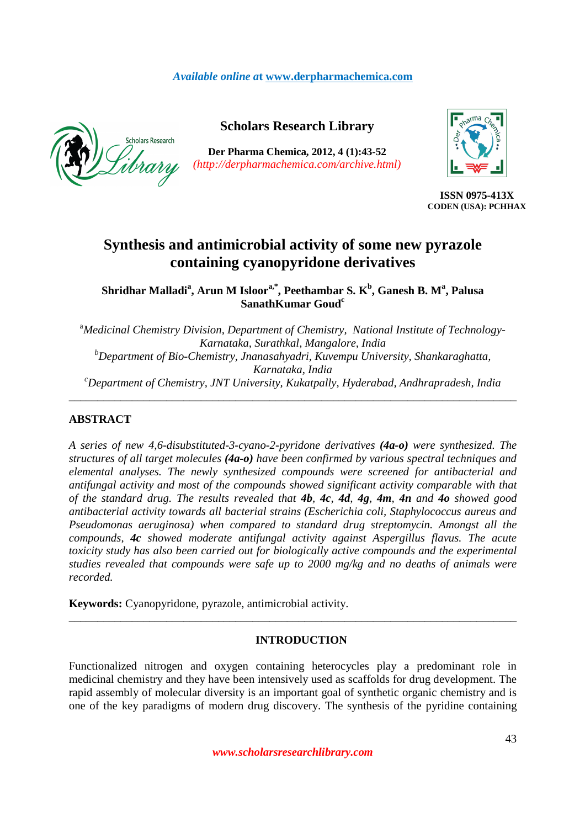# *Available online a***t www.derpharmachemica.com**



# **Scholars Research Library**

**Der Pharma Chemica, 2012, 4 (1):43-52**  *(http://derpharmachemica.com/archive.html)* 



**ISSN 0975-413X CODEN (USA): PCHHAX**

# **Synthesis and antimicrobial activity of some new pyrazole containing cyanopyridone derivatives**

**Shridhar Malladi<sup>a</sup> , Arun M Isloora,\*, Peethambar S. K<sup>b</sup> , Ganesh B. M<sup>a</sup> , Palusa SanathKumar Goud<sup>c</sup>**

<sup>a</sup>Medicinal Chemistry Division, Department of Chemistry, National Institute of Technology-*Karnataka, Surathkal, Mangalore, India <sup>b</sup>Department of Bio-Chemistry, Jnanasahyadri, Kuvempu University, Shankaraghatta, Karnataka, India <sup>c</sup>Department of Chemistry, JNT University, Kukatpally, Hyderabad, Andhrapradesh, India* 

\_\_\_\_\_\_\_\_\_\_\_\_\_\_\_\_\_\_\_\_\_\_\_\_\_\_\_\_\_\_\_\_\_\_\_\_\_\_\_\_\_\_\_\_\_\_\_\_\_\_\_\_\_\_\_\_\_\_\_\_\_\_\_\_\_\_\_\_\_\_\_\_\_\_\_\_\_\_

# **ABSTRACT**

*A series of new 4,6-disubstituted-3-cyano-2-pyridone derivatives (4a-o) were synthesized. The structures of all target molecules (4a-o) have been confirmed by various spectral techniques and elemental analyses. The newly synthesized compounds were screened for antibacterial and antifungal activity and most of the compounds showed significant activity comparable with that of the standard drug. The results revealed that 4b, 4c, 4d, 4g, 4m, 4n and 4o showed good antibacterial activity towards all bacterial strains (Escherichia coli, Staphylococcus aureus and Pseudomonas aeruginosa) when compared to standard drug streptomycin. Amongst all the compounds, 4c showed moderate antifungal activity against Aspergillus flavus. The acute toxicity study has also been carried out for biologically active compounds and the experimental studies revealed that compounds were safe up to 2000 mg/kg and no deaths of animals were recorded.* 

**Keywords:** Cyanopyridone, pyrazole, antimicrobial activity.

# **INTRODUCTION**

\_\_\_\_\_\_\_\_\_\_\_\_\_\_\_\_\_\_\_\_\_\_\_\_\_\_\_\_\_\_\_\_\_\_\_\_\_\_\_\_\_\_\_\_\_\_\_\_\_\_\_\_\_\_\_\_\_\_\_\_\_\_\_\_\_\_\_\_\_\_\_\_\_\_\_\_\_\_

Functionalized nitrogen and oxygen containing heterocycles play a predominant role in medicinal chemistry and they have been intensively used as scaffolds for drug development. The rapid assembly of molecular diversity is an important goal of synthetic organic chemistry and is one of the key paradigms of modern drug discovery. The synthesis of the pyridine containing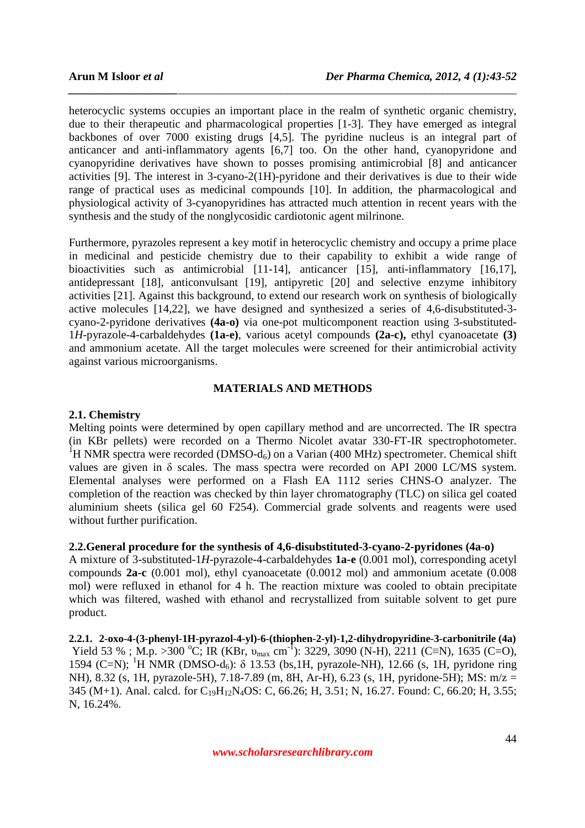heterocyclic systems occupies an important place in the realm of synthetic organic chemistry, due to their therapeutic and pharmacological properties [1-3]. They have emerged as integral backbones of over 7000 existing drugs [4,5]. The pyridine nucleus is an integral part of anticancer and anti-inflammatory agents [6,7] too. On the other hand, cyanopyridone and cyanopyridine derivatives have shown to posses promising antimicrobial [8] and anticancer activities [9]. The interest in 3-cyano-2(1H)-pyridone and their derivatives is due to their wide range of practical uses as medicinal compounds [10]. In addition, the pharmacological and physiological activity of 3-cyanopyridines has attracted much attention in recent years with the synthesis and the study of the nonglycosidic cardiotonic agent milrinone.

*\_\_\_\_\_\_\_\_\_\_\_\_\_\_\_\_\_\_\_\_\_\_\_\_\_\_\_\_\_\_\_\_\_\_\_\_\_\_\_\_\_\_\_\_\_\_\_\_\_\_\_\_\_\_\_\_\_\_\_\_\_\_\_\_\_\_\_\_\_\_\_\_\_\_\_\_\_\_*

Furthermore, pyrazoles represent a key motif in heterocyclic chemistry and occupy a prime place in medicinal and pesticide chemistry due to their capability to exhibit a wide range of bioactivities such as antimicrobial [11-14], anticancer [15], anti-inflammatory [16,17], antidepressant [18], anticonvulsant [19], antipyretic [20] and selective enzyme inhibitory activities [21]. Against this background, to extend our research work on synthesis of biologically active molecules [14,22], we have designed and synthesized a series of 4,6-disubstituted-3 cyano-2-pyridone derivatives **(4a-o)** via one-pot multicomponent reaction using 3-substituted-1*H*-pyrazole-4-carbaldehydes **(1a-e)**, various acetyl compounds **(2a-c),** ethyl cyanoacetate **(3)** and ammonium acetate. All the target molecules were screened for their antimicrobial activity against various microorganisms.

# **MATERIALS AND METHODS**

# **2.1. Chemistry**

Melting points were determined by open capillary method and are uncorrected. The IR spectra (in KBr pellets) were recorded on a Thermo Nicolet avatar 330-FT-IR spectrophotometer. <sup>1</sup>H NMR spectra were recorded (DMSO-d<sub>6</sub>) on a Varian (400 MHz) spectrometer. Chemical shift values are given in  $\delta$  scales. The mass spectra were recorded on API 2000 LC/MS system. Elemental analyses were performed on a Flash EA 1112 series CHNS-O analyzer. The completion of the reaction was checked by thin layer chromatography (TLC) on silica gel coated aluminium sheets (silica gel 60 F254). Commercial grade solvents and reagents were used without further purification.

## **2.2.General procedure for the synthesis of 4,6-disubstituted-3-cyano-2-pyridones (4a-o)**

A mixture of 3-substituted-1*H*-pyrazole-4-carbaldehydes **1a-e** (0.001 mol), corresponding acetyl compounds **2a-c** (0.001 mol), ethyl cyanoacetate (0.0012 mol) and ammonium acetate (0.008 mol) were refluxed in ethanol for 4 h. The reaction mixture was cooled to obtain precipitate which was filtered, washed with ethanol and recrystallized from suitable solvent to get pure product.

**2.2.1. 2-oxo-4-(3-phenyl-1H-pyrazol-4-yl)-6-(thiophen-2-yl)-1,2-dihydropyridine-3-carbonitrile (4a)**  Yield 53 %; M.p. >300 °C; IR (KBr,  $v_{\text{max}}$  cm<sup>-1</sup>): 3229, 3090 (N-H), 2211 (C≡N), 1635 (C=O), 1594 (C=N); <sup>1</sup>H NMR (DMSO-d<sub>6</sub>): δ 13.53 (bs, 1H, pyrazole-NH), 12.66 (s, 1H, pyridone ring NH), 8.32 (s, 1H, pyrazole-5H), 7.18-7.89 (m, 8H, Ar-H), 6.23 (s, 1H, pyridone-5H); MS: m/z = 345 (M+1). Anal. calcd. for C<sub>19</sub>H<sub>12</sub>N<sub>4</sub>OS: C, 66.26; H, 3.51; N, 16.27. Found: C, 66.20; H, 3.55; N, 16.24%.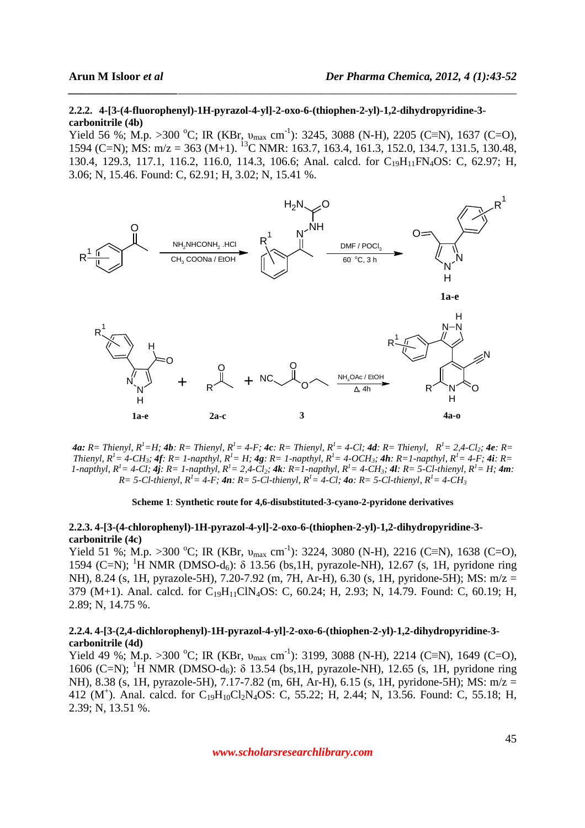#### **2.2.2. 4-[3-(4-fluorophenyl)-1H-pyrazol-4-yl]-2-oxo-6-(thiophen-2-yl)-1,2-dihydropyridine-3 carbonitrile (4b)**

Yield 56 %; M.p. >300 °C; IR (KBr,  $v_{max}$  cm<sup>-1</sup>): 3245, 3088 (N-H), 2205 (C≡N), 1637 (C=O), 1594 (C=N); MS:  $m/z = 363$  (M+1). <sup>13</sup>C NMR: 163.7, 163.4, 161.3, 152.0, 134.7, 131.5, 130.48, 130.4, 129.3, 117.1, 116.2, 116.0, 114.3, 106.6; Anal. calcd. for C<sub>19</sub>H<sub>11</sub>FN<sub>4</sub>OS: C, 62.97; H, 3.06; N, 15.46. Found: C, 62.91; H, 3.02; N, 15.41 %.

*\_\_\_\_\_\_\_\_\_\_\_\_\_\_\_\_\_\_\_\_\_\_\_\_\_\_\_\_\_\_\_\_\_\_\_\_\_\_\_\_\_\_\_\_\_\_\_\_\_\_\_\_\_\_\_\_\_\_\_\_\_\_\_\_\_\_\_\_\_\_\_\_\_\_\_\_\_\_*



4a: R= Thienyl, R<sup>1</sup>=H; 4b: R= Thienyl, R<sup>1</sup>= 4-F; 4c; R= Thienyl, R<sup>1</sup>= 4-Cl; 4d; R= Thienyl, R<sup>1</sup>= 2.4-Cl<sub>2</sub>; 4e; R= Thienyl,  $R^l = 4 - CH_3$ ;  $4f$ ;  $R = 1$ -napthyl,  $R^l = H$ ;  $4g$ ;  $R = 1$ -napthyl,  $R^l = 4 - OCH_3$ ;  $4h$ ;  $R = 1$ -napthyl,  $R^l = 4 - F$ ;  $4i$ ;  $R =$ 1-napthyl,  $R^i = 4$ -Cl;  $A_i$ ;  $R = 1$ -napthyl,  $R^i = 2.4$ -Cl;  $4k$ ;  $R = 1$ -napthyl,  $R^i = 4$ -CH<sub>3</sub>;  $4l$ ;  $R = 5$ -Cl-thienyl,  $R^i = H$ ;  $4m$ ; *R*= 5-Cl-thienyl,  $R$ <sup>1</sup> = 4-F; **4n**: R= 5-Cl-thienyl,  $R$ <sup>1</sup> = 4-Cl; **4o**: R= 5-Cl-thienyl,  $R$ <sup>1</sup> = 4-CH<sub>3</sub>

#### **Scheme 1**: **Synthetic route for 4,6-disubstituted-3-cyano-2-pyridone derivatives**

#### **2.2.3. 4-[3-(4-chlorophenyl)-1H-pyrazol-4-yl]-2-oxo-6-(thiophen-2-yl)-1,2-dihydropyridine-3 carbonitrile (4c)**

Yield 51 %; M.p. >300 °C; IR (KBr,  $v_{max}$  cm<sup>-1</sup>): 3224, 3080 (N-H), 2216 (C≡N), 1638 (C=O), 1594 (C=N); <sup>1</sup>H NMR (DMSO-d<sub>6</sub>): δ 13.56 (bs, 1H, pyrazole-NH), 12.67 (s, 1H, pyridone ring NH), 8.24 (s, 1H, pyrazole-5H), 7.20-7.92 (m, 7H, Ar-H), 6.30 (s, 1H, pyridone-5H); MS: m/z = 379 (M+1). Anal. calcd. for C<sub>19</sub>H<sub>11</sub>ClN<sub>4</sub>OS: C, 60.24; H, 2.93; N, 14.79. Found: C, 60.19; H, 2.89; N, 14.75 %.

#### **2.2.4. 4-[3-(2,4-dichlorophenyl)-1H-pyrazol-4-yl]-2-oxo-6-(thiophen-2-yl)-1,2-dihydropyridine-3 carbonitrile (4d)**

Yield 49 %; M.p. >300 °C; IR (KBr,  $v_{max}$  cm<sup>-1</sup>): 3199, 3088 (N-H), 2214 (C≡N), 1649 (C=O), 1606 (C=N); <sup>1</sup>H NMR (DMSO-d<sub>6</sub>): δ 13.54 (bs, 1H, pyrazole-NH), 12.65 (s, 1H, pyridone ring NH), 8.38 (s, 1H, pyrazole-5H), 7.17-7.82 (m, 6H, Ar-H), 6.15 (s, 1H, pyridone-5H); MS: m/z = 412 (M<sup>+</sup>). Anal. calcd. for C<sub>19</sub>H<sub>10</sub>Cl<sub>2</sub>N<sub>4</sub>OS: C, 55.22; H, 2.44; N, 13.56. Found: C, 55.18; H, 2.39; N, 13.51 %.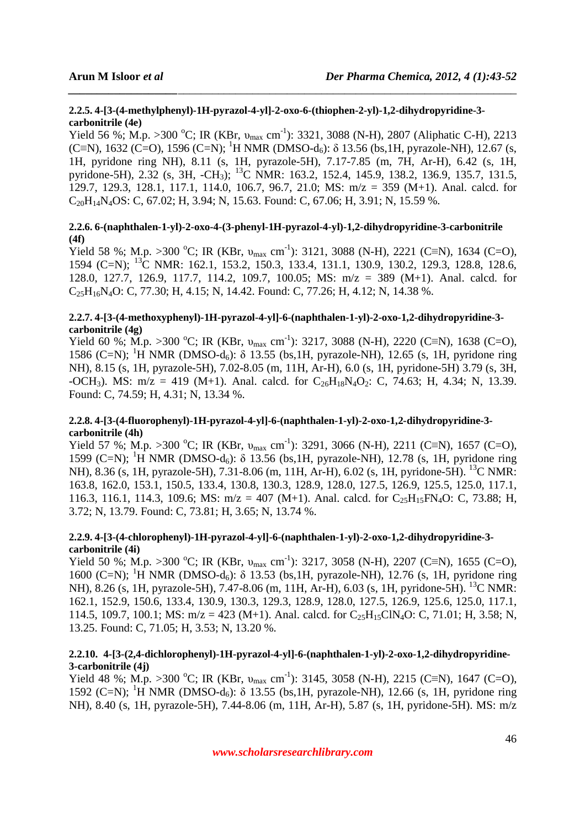# **2.2.5. 4-[3-(4-methylphenyl)-1H-pyrazol-4-yl]-2-oxo-6-(thiophen-2-yl)-1,2-dihydropyridine-3 carbonitrile (4e)**

Yield 56 %; M.p. >300 °C; IR (KBr,  $v_{max}$  cm<sup>-1</sup>): 3321, 3088 (N-H), 2807 (Aliphatic C-H), 2213 (C≡N), 1632 (C=O), 1596 (C=N); <sup>1</sup>H NMR (DMSO-d<sub>6</sub>):  $\delta$  13.56 (bs, 1H, pyrazole-NH), 12.67 (s, 1H, pyridone ring NH), 8.11 (s, 1H, pyrazole-5H), 7.17-7.85 (m, 7H, Ar-H), 6.42 (s, 1H, pyridone-5H), 2.32 (s, 3H, -CH3); <sup>13</sup>C NMR: 163.2, 152.4, 145.9, 138.2, 136.9, 135.7, 131.5, 129.7, 129.3, 128.1, 117.1, 114.0, 106.7, 96.7, 21.0; MS: m/z = 359 (M+1). Anal. calcd. for C20H14N4OS: C, 67.02; H, 3.94; N, 15.63. Found: C, 67.06; H, 3.91; N, 15.59 %.

*\_\_\_\_\_\_\_\_\_\_\_\_\_\_\_\_\_\_\_\_\_\_\_\_\_\_\_\_\_\_\_\_\_\_\_\_\_\_\_\_\_\_\_\_\_\_\_\_\_\_\_\_\_\_\_\_\_\_\_\_\_\_\_\_\_\_\_\_\_\_\_\_\_\_\_\_\_\_*

# **2.2.6. 6-(naphthalen-1-yl)-2-oxo-4-(3-phenyl-1H-pyrazol-4-yl)-1,2-dihydropyridine-3-carbonitrile (4f)**

Yield 58 %; M.p. >300 °C; IR (KBr,  $v_{max}$  cm<sup>-1</sup>): 3121, 3088 (N-H), 2221 (C≡N), 1634 (C=O), 1594 (C=N); <sup>13</sup>C NMR: 162.1, 153.2, 150.3, 133.4, 131.1, 130.9, 130.2, 129.3, 128.8, 128.6, 128.0, 127.7, 126.9, 117.7, 114.2, 109.7, 100.05; MS: m/z = 389 (M+1). Anal. calcd. for  $C_2$ <sub>5</sub>H<sub>16</sub>N<sub>4</sub>O: C, 77.30; H, 4.15; N, 14.42. Found: C, 77.26; H, 4.12; N, 14.38 %.

## **2.2.7. 4-[3-(4-methoxyphenyl)-1H-pyrazol-4-yl]-6-(naphthalen-1-yl)-2-oxo-1,2-dihydropyridine-3 carbonitrile (4g)**

Yield 60 %; M.p. >300 °C; IR (KBr,  $v_{max}$  cm<sup>-1</sup>): 3217, 3088 (N-H), 2220 (C≡N), 1638 (C=O), 1586 (C=N); <sup>1</sup>H NMR (DMSO-d<sub>6</sub>): δ 13.55 (bs, 1H, pyrazole-NH), 12.65 (s, 1H, pyridone ring NH), 8.15 (s, 1H, pyrazole-5H), 7.02-8.05 (m, 11H, Ar-H), 6.0 (s, 1H, pyridone-5H) 3.79 (s, 3H, -OCH<sub>3</sub>). MS: m/z = 419 (M+1). Anal. calcd. for  $C_{26}H_{18}N_4O_2$ : C, 74.63; H, 4.34; N, 13.39. Found: C, 74.59; H, 4.31; N, 13.34 %.

# **2.2.8. 4-[3-(4-fluorophenyl)-1H-pyrazol-4-yl]-6-(naphthalen-1-yl)-2-oxo-1,2-dihydropyridine-3 carbonitrile (4h)**

Yield 57 %; M.p. >300 °C; IR (KBr,  $v_{max}$  cm<sup>-1</sup>): 3291, 3066 (N-H), 2211 (C≡N), 1657 (C=O), 1599 (C=N); <sup>1</sup>H NMR (DMSO-d<sub>6</sub>): δ 13.56 (bs, 1H, pyrazole-NH), 12.78 (s, 1H, pyridone ring NH), 8.36 (s, 1H, pyrazole-5H), 7.31-8.06 (m, 11H, Ar-H), 6.02 (s, 1H, pyridone-5H). <sup>13</sup>C NMR: 163.8, 162.0, 153.1, 150.5, 133.4, 130.8, 130.3, 128.9, 128.0, 127.5, 126.9, 125.5, 125.0, 117.1, 116.3, 116.1, 114.3, 109.6; MS:  $m/z = 407$  (M+1). Anal. calcd. for C<sub>25</sub>H<sub>15</sub>FN<sub>4</sub>O: C, 73.88; H, 3.72; N, 13.79. Found: C, 73.81; H, 3.65; N, 13.74 %.

## **2.2.9. 4-[3-(4-chlorophenyl)-1H-pyrazol-4-yl]-6-(naphthalen-1-yl)-2-oxo-1,2-dihydropyridine-3 carbonitrile (4i)**

Yield 50 %; M.p. >300 °C; IR (KBr,  $v_{max}$  cm<sup>-1</sup>): 3217, 3058 (N-H), 2207 (C≡N), 1655 (C=O), 1600 (C=N); <sup>1</sup>H NMR (DMSO-d<sub>6</sub>):  $\delta$  13.53 (bs, 1H, pyrazole-NH), 12.76 (s, 1H, pyridone ring NH), 8.26 (s, 1H, pyrazole-5H), 7.47-8.06 (m, 11H, Ar-H), 6.03 (s, 1H, pyridone-5H). <sup>13</sup>C NMR: 162.1, 152.9, 150.6, 133.4, 130.9, 130.3, 129.3, 128.9, 128.0, 127.5, 126.9, 125.6, 125.0, 117.1, 114.5, 109.7, 100.1; MS:  $m/z = 423$  (M+1). Anal. calcd. for  $C_2$ <sub>5</sub>H<sub>15</sub>ClN<sub>4</sub>O: C, 71.01; H, 3.58; N, 13.25. Found: C, 71.05; H, 3.53; N, 13.20 %.

## **2.2.10. 4-[3-(2,4-dichlorophenyl)-1H-pyrazol-4-yl]-6-(naphthalen-1-yl)-2-oxo-1,2-dihydropyridine-3-carbonitrile (4j)**

Yield 48 %; M.p. >300 °C; IR (KBr,  $v_{max}$  cm<sup>-1</sup>): 3145, 3058 (N-H), 2215 (C≡N), 1647 (C=O), 1592 (C=N); <sup>1</sup>H NMR (DMSO-d<sub>6</sub>): δ 13.55 (bs, 1H, pyrazole-NH), 12.66 (s, 1H, pyridone ring NH), 8.40 (s, 1H, pyrazole-5H), 7.44-8.06 (m, 11H, Ar-H), 5.87 (s, 1H, pyridone-5H). MS: m/z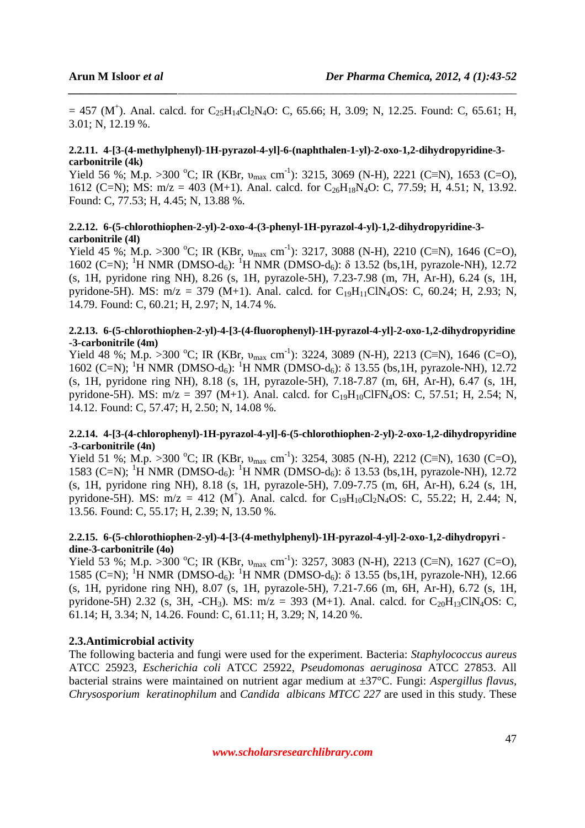$= 457$  (M<sup>+</sup>). Anal. calcd. for C<sub>25</sub>H<sub>14</sub>Cl<sub>2</sub>N<sub>4</sub>O: C, 65.66; H, 3.09; N, 12.25. Found: C, 65.61; H, 3.01; N, 12.19 %.

*\_\_\_\_\_\_\_\_\_\_\_\_\_\_\_\_\_\_\_\_\_\_\_\_\_\_\_\_\_\_\_\_\_\_\_\_\_\_\_\_\_\_\_\_\_\_\_\_\_\_\_\_\_\_\_\_\_\_\_\_\_\_\_\_\_\_\_\_\_\_\_\_\_\_\_\_\_\_*

#### **2.2.11. 4-[3-(4-methylphenyl)-1H-pyrazol-4-yl]-6-(naphthalen-1-yl)-2-oxo-1,2-dihydropyridine-3 carbonitrile (4k)**

Yield 56 %; M.p. >300 °C; IR (KBr,  $v_{max}$  cm<sup>-1</sup>): 3215, 3069 (N-H), 2221 (C≡N), 1653 (C=O), 1612 (C=N); MS: m/z = 403 (M+1). Anal. calcd. for C<sub>26</sub>H<sub>18</sub>N<sub>4</sub>O: C, 77.59; H, 4.51; N, 13.92. Found: C, 77.53; H, 4.45; N, 13.88 %.

#### **2.2.12. 6-(5-chlorothiophen-2-yl)-2-oxo-4-(3-phenyl-1H-pyrazol-4-yl)-1,2-dihydropyridine-3 carbonitrile (4l)**

Yield 45 %; M.p. >300 °C; IR (KBr,  $v_{max}$  cm<sup>-1</sup>): 3217, 3088 (N-H), 2210 (C≡N), 1646 (C=O), 1602 (C=N); <sup>1</sup>H NMR (DMSO-d<sub>6</sub>): <sup>1</sup>H NMR (DMSO-d<sub>6</sub>):  $\delta$  13.52 (bs, 1H, pyrazole-NH), 12.72 (s, 1H, pyridone ring NH), 8.26 (s, 1H, pyrazole-5H), 7.23-7.98 (m, 7H, Ar-H), 6.24 (s, 1H, pyridone-5H). MS:  $m/z = 379$  (M+1). Anal. calcd. for  $C_{19}H_{11}CIN_4OS$ : C, 60.24; H, 2.93; N, 14.79. Found: C, 60.21; H, 2.97; N, 14.74 %.

#### **2.2.13. 6-(5-chlorothiophen-2-yl)-4-[3-(4-fluorophenyl)-1H-pyrazol-4-yl]-2-oxo-1,2-dihydropyridine -3-carbonitrile (4m)**

Yield 48 %; M.p. >300 °C; IR (KBr,  $v_{max}$  cm<sup>-1</sup>): 3224, 3089 (N-H), 2213 (C≡N), 1646 (C=O), 1602 (C=N); <sup>1</sup>H NMR (DMSO-d<sub>6</sub>): <sup>1</sup>H NMR (DMSO-d<sub>6</sub>):  $\delta$  13.55 (bs, 1H, pyrazole-NH), 12.72 (s, 1H, pyridone ring NH), 8.18 (s, 1H, pyrazole-5H), 7.18-7.87 (m, 6H, Ar-H), 6.47 (s, 1H, pyridone-5H). MS:  $m/z = 397$  (M+1). Anal. calcd. for C<sub>19</sub>H<sub>10</sub>ClFN<sub>4</sub>OS: C, 57.51; H, 2.54; N, 14.12. Found: C, 57.47; H, 2.50; N, 14.08 %.

#### **2.2.14. 4-[3-(4-chlorophenyl)-1H-pyrazol-4-yl]-6-(5-chlorothiophen-2-yl)-2-oxo-1,2-dihydropyridine -3-carbonitrile (4n)**

Yield 51 %; M.p. >300 °C; IR (KBr,  $v_{max}$  cm<sup>-1</sup>): 3254, 3085 (N-H), 2212 (C≡N), 1630 (C=O), 1583 (C=N); <sup>1</sup>H NMR (DMSO-d<sub>6</sub>): <sup>1</sup>H NMR (DMSO-d<sub>6</sub>):  $\delta$  13.53 (bs, 1H, pyrazole-NH), 12.72 (s, 1H, pyridone ring NH), 8.18 (s, 1H, pyrazole-5H), 7.09-7.75 (m, 6H, Ar-H), 6.24 (s, 1H, pyridone-5H). MS:  $m/z = 412$  (M<sup>+</sup>). Anal. calcd. for C<sub>19</sub>H<sub>10</sub>Cl<sub>2</sub>N<sub>4</sub>OS: C, 55.22; H, 2.44; N, 13.56. Found: C, 55.17; H, 2.39; N, 13.50 %.

#### **2.2.15. 6-(5-chlorothiophen-2-yl)-4-[3-(4-methylphenyl)-1H-pyrazol-4-yl]-2-oxo-1,2-dihydropyri dine-3-carbonitrile (4o)**

Yield 53 %; M.p. >300 °C; IR (KBr,  $v_{max}$  cm<sup>-1</sup>): 3257, 3083 (N-H), 2213 (C≡N), 1627 (C=O), 1585 (C=N); <sup>1</sup>H NMR (DMSO-d<sub>6</sub>): <sup>1</sup>H NMR (DMSO-d<sub>6</sub>):  $\delta$  13.55 (bs, 1H, pyrazole-NH), 12.66 (s, 1H, pyridone ring NH), 8.07 (s, 1H, pyrazole-5H), 7.21-7.66 (m, 6H, Ar-H), 6.72 (s, 1H, pyridone-5H) 2.32 (s, 3H, -CH<sub>3</sub>). MS:  $m/z = 393$  (M+1). Anal. calcd. for C<sub>20</sub>H<sub>13</sub>ClN<sub>4</sub>OS: C, 61.14; H, 3.34; N, 14.26. Found: C, 61.11; H, 3.29; N, 14.20 %.

#### **2.3.Antimicrobial activity**

The following bacteria and fungi were used for the experiment. Bacteria: *Staphylococcus aureus*  ATCC 25923, *Escherichia coli* ATCC 25922, *Pseudomonas aeruginosa* ATCC 27853. All bacterial strains were maintained on nutrient agar medium at ±37°C. Fungi: *Aspergillus flavus, Chrysosporium keratinophilum* and *Candida albicans MTCC 227* are used in this study. These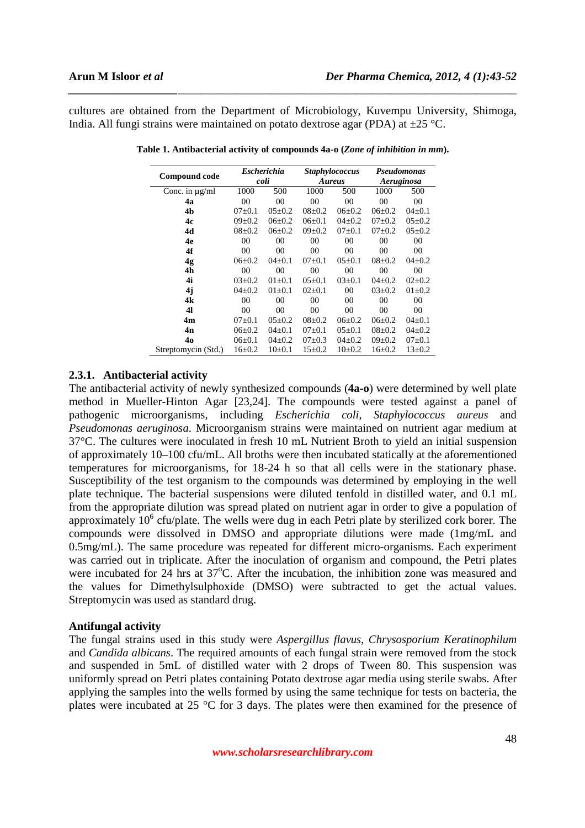cultures are obtained from the Department of Microbiology, Kuvempu University, Shimoga, India. All fungi strains were maintained on potato dextrose agar (PDA) at  $\pm 25$  °C.

*\_\_\_\_\_\_\_\_\_\_\_\_\_\_\_\_\_\_\_\_\_\_\_\_\_\_\_\_\_\_\_\_\_\_\_\_\_\_\_\_\_\_\_\_\_\_\_\_\_\_\_\_\_\_\_\_\_\_\_\_\_\_\_\_\_\_\_\_\_\_\_\_\_\_\_\_\_\_*

| <b>Compound code</b> | <b>Escherichia</b> |                | <b>Staphylococcus</b> |                | Pseudomonas    |              |
|----------------------|--------------------|----------------|-----------------------|----------------|----------------|--------------|
|                      | coli               |                | <b>Aureus</b>         |                | Aeruginosa     |              |
| Conc. in $\mu$ g/ml  | 1000               | 500            | 1000                  | 500            | 1000           | 500          |
| 4a                   | 0 <sup>0</sup>     | 0 <sup>0</sup> | 00                    | 0 <sup>0</sup> | 0 <sup>0</sup> | 00           |
| 4b                   | $07 \pm 0.1$       | $05 \pm 0.2$   | $08 \pm 0.2$          | $06 \pm 0.2$   | $06\pm0.2$     | $04 \pm 0.1$ |
| 4c                   | $09 \pm 0.2$       | $06\pm0.2$     | $06 \pm 0.1$          | $04\pm0.2$     | $07 \pm 0.2$   | $05 \pm 0.2$ |
| 4d                   | $08 \pm 0.2$       | $06\pm0.2$     | $09 \pm 0.2$          | $07 \pm 0.1$   | $07+0.2$       | $05 \pm 0.2$ |
| 4e                   | 00                 | 00             | 00                    | 00             | 00             | 00           |
| 4f                   | 00                 | 00             | 00                    | 00             | 00             | 00           |
| 4 <sub>g</sub>       | $06\pm0.2$         | $04 \pm 0.1$   | $07+0.1$              | $05 \pm 0.1$   | $08 \pm 0.2$   | $04\pm0.2$   |
| 4h                   | 00                 | 00             | 00                    | 00             | 00             | 00           |
| 4i                   | $03+0.2$           | $01 \pm 0.1$   | $05 \pm 0.1$          | $03 \pm 0.1$   | $04+0.2$       | $02+0.2$     |
| 4j                   | $04\pm0.2$         | $01 \pm 0.1$   | $02\pm0.1$            | 00             | $03 \pm 0.2$   | $01 \pm 0.2$ |
| 4k                   | 00                 | 00             | 00                    | 00             | 00             | 00           |
| 41                   | 00                 | 00             | 00                    | 00             | 00             | 00           |
| 4m                   | $07+0.1$           | $05 \pm 0.2$   | $08 \pm 0.2$          | $06 \pm 0.2$   | $06 \pm 0.2$   | $04 \pm 0.1$ |
| 4n                   | $06 \pm 0.2$       | $04 \pm 0.1$   | $07 \pm 0.1$          | $05 \pm 0.1$   | $08 \pm 0.2$   | $04\pm0.2$   |
| 40                   | $06 \pm 0.1$       | $04\pm0.2$     | $07\pm0.3$            | $04\pm0.2$     | $09 \pm 0.2$   | $07 \pm 0.1$ |
| Streptomycin (Std.)  | $16 \pm 0.2$       | $10\pm0.1$     | $15 \pm 0.2$          | $10\pm 0.2$    | $16+0.2$       | $13 \pm 0.2$ |

**Table 1. Antibacterial activity of compounds 4a-o (***Zone of inhibition in mm***).** 

#### **2.3.1. Antibacterial activity**

The antibacterial activity of newly synthesized compounds (**4a-o**) were determined by well plate method in Mueller-Hinton Agar [23,24]. The compounds were tested against a panel of pathogenic microorganisms, including *Escherichia coli*, *Staphylococcus aureus* and *Pseudomonas aeruginosa*. Microorganism strains were maintained on nutrient agar medium at 37°C. The cultures were inoculated in fresh 10 mL Nutrient Broth to yield an initial suspension of approximately 10–100 cfu/mL. All broths were then incubated statically at the aforementioned temperatures for microorganisms, for 18-24 h so that all cells were in the stationary phase. Susceptibility of the test organism to the compounds was determined by employing in the well plate technique. The bacterial suspensions were diluted tenfold in distilled water, and 0.1 mL from the appropriate dilution was spread plated on nutrient agar in order to give a population of approximately 10<sup>6</sup> cfu/plate. The wells were dug in each Petri plate by sterilized cork borer. The compounds were dissolved in DMSO and appropriate dilutions were made (1mg/mL and 0.5mg/mL). The same procedure was repeated for different micro-organisms. Each experiment was carried out in triplicate. After the inoculation of organism and compound, the Petri plates were incubated for 24 hrs at 37°C. After the incubation, the inhibition zone was measured and the values for Dimethylsulphoxide (DMSO) were subtracted to get the actual values. Streptomycin was used as standard drug.

#### **Antifungal activity**

The fungal strains used in this study were *Aspergillus flavus*, *Chrysosporium Keratinophilum*  and *Candida albicans*. The required amounts of each fungal strain were removed from the stock and suspended in 5mL of distilled water with 2 drops of Tween 80. This suspension was uniformly spread on Petri plates containing Potato dextrose agar media using sterile swabs. After applying the samples into the wells formed by using the same technique for tests on bacteria, the plates were incubated at 25 °C for 3 days. The plates were then examined for the presence of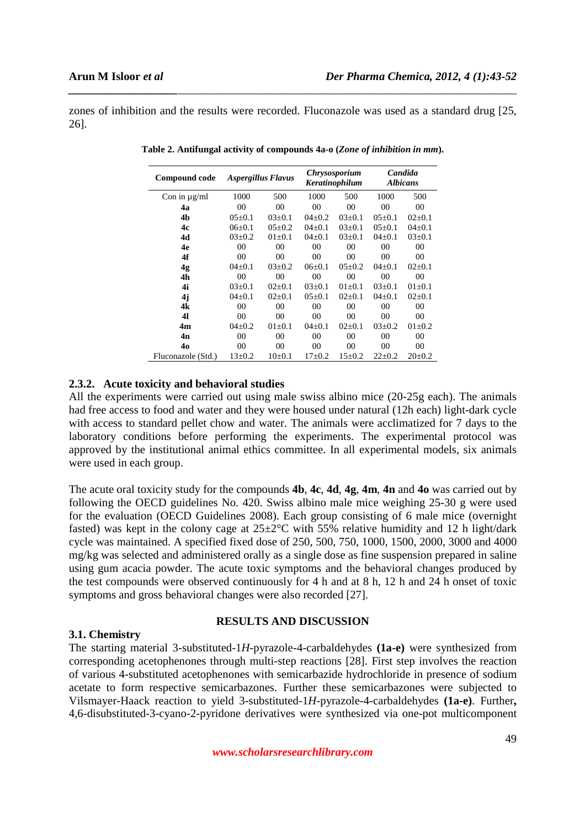zones of inhibition and the results were recorded. Fluconazole was used as a standard drug [25, 26].

*\_\_\_\_\_\_\_\_\_\_\_\_\_\_\_\_\_\_\_\_\_\_\_\_\_\_\_\_\_\_\_\_\_\_\_\_\_\_\_\_\_\_\_\_\_\_\_\_\_\_\_\_\_\_\_\_\_\_\_\_\_\_\_\_\_\_\_\_\_\_\_\_\_\_\_\_\_\_*

| Compound code      | Aspergillus Flavus |                | <b>Chrysosporium</b><br>Keratinophilum |                 | Candida<br><b>Albicans</b> |                 |
|--------------------|--------------------|----------------|----------------------------------------|-----------------|----------------------------|-----------------|
| Con in $\mu$ g/ml  | 1000               | 500            | 1000                                   | 500             | 1000                       | 500             |
| 4а                 | 0 <sup>0</sup>     | 00             | 00                                     | 0 <sup>0</sup>  | 00                         | 0 <sup>0</sup>  |
| 4b                 | $0.5 + 0.1$        | $03+0.1$       | $04+0.2$                               | $03+0.1$        | $0.5 + 0.1$                | $02+0.1$        |
| 4c                 | $06+0.1$           | $0.5 + 0.2$    | $04+0.1$                               | $03+0.1$        | $0.5 + 0.1$                | $04+0.1$        |
| 4d                 | $03+0.2$           | $01+0.1$       | $04+0.1$                               | $03 \pm 0.1$    | $04+0.1$                   | $03 \pm 0.1$    |
| 4e                 | 00                 | 00             | 00                                     | 00 <sup>2</sup> | 00                         | 00              |
| 4f                 | 00                 | 00             | 00                                     | 00 <sup>2</sup> | 00                         | 00              |
| 4 <sub>g</sub>     | $04+0.1$           | $03+0.2$       | $06+0.1$                               | $0.5 + 0.2$     | $04+0.1$                   | $02+0.1$        |
| 4h                 | 0 <sup>0</sup>     | 0 <sup>0</sup> | 0 <sup>0</sup>                         | 0 <sup>0</sup>  | 0 <sup>0</sup>             | 0 <sup>0</sup>  |
| 4i                 | $03+0.1$           | $02+0.1$       | $03+0.1$                               | $01+0.1$        | $03+0.1$                   | $01+0.1$        |
| 4j                 | $04+0.1$           | $02+0.1$       | $0.5 + 0.1$                            | $02+0.1$        | $04+0.1$                   | $02+0.1$        |
| 4k                 | 0 <sup>0</sup>     | 0 <sup>0</sup> | 00                                     | 00 <sup>2</sup> | 0 <sup>0</sup>             | 0 <sup>0</sup>  |
| 41                 | 0 <sup>0</sup>     | 0 <sup>0</sup> | 00                                     | 00 <sup>2</sup> | $00 \,$                    | 00 <sup>2</sup> |
| 4 <sub>m</sub>     | $04\pm0.2$         | $01 \pm 0.1$   | $04\pm0.1$                             | $02+0.1$        | $03 \pm 0.2$               | $01 \pm 0.2$    |
| 4n                 | 00                 | 00             | 00                                     | 0 <sup>0</sup>  | 00                         | 00              |
| 40                 | 0 <sup>0</sup>     | 0 <sup>0</sup> | 00                                     | 0 <sup>0</sup>  | 00                         | 0 <sup>0</sup>  |
| Fluconazole (Std.) | $13 \pm 0.2$       | $10\pm 0.1$    | $17+0.2$                               | $15+0.2$        | $22+0.2$                   | $20+0.2$        |

**Table 2. Antifungal activity of compounds 4a-o (***Zone of inhibition in mm***).** 

## **2.3.2. Acute toxicity and behavioral studies**

All the experiments were carried out using male swiss albino mice (20-25g each). The animals had free access to food and water and they were housed under natural (12h each) light-dark cycle with access to standard pellet chow and water. The animals were acclimatized for 7 days to the laboratory conditions before performing the experiments. The experimental protocol was approved by the institutional animal ethics committee. In all experimental models, six animals were used in each group.

The acute oral toxicity study for the compounds **4b**, **4c**, **4d**, **4g**, **4m**, **4n** and **4o** was carried out by following the OECD guidelines No. 420. Swiss albino male mice weighing 25-30 g were used for the evaluation (OECD Guidelines 2008). Each group consisting of 6 male mice (overnight fasted) was kept in the colony cage at  $25\pm2\degree C$  with 55% relative humidity and 12 h light/dark cycle was maintained. A specified fixed dose of 250, 500, 750, 1000, 1500, 2000, 3000 and 4000 mg/kg was selected and administered orally as a single dose as fine suspension prepared in saline using gum acacia powder. The acute toxic symptoms and the behavioral changes produced by the test compounds were observed continuously for 4 h and at 8 h, 12 h and 24 h onset of toxic symptoms and gross behavioral changes were also recorded [27].

# **RESULTS AND DISCUSSION**

#### **3.1. Chemistry**

The starting material 3-substituted-1*H*-pyrazole-4-carbaldehydes **(1a-e)** were synthesized from corresponding acetophenones through multi-step reactions [28]. First step involves the reaction of various 4-substituted acetophenones with semicarbazide hydrochloride in presence of sodium acetate to form respective semicarbazones. Further these semicarbazones were subjected to Vilsmayer-Haack reaction to yield 3-substituted-1*H*-pyrazole-4-carbaldehydes **(1a-e)**. Further**,**  4,6-disubstituted-3-cyano-2-pyridone derivatives were synthesized via one-pot multicomponent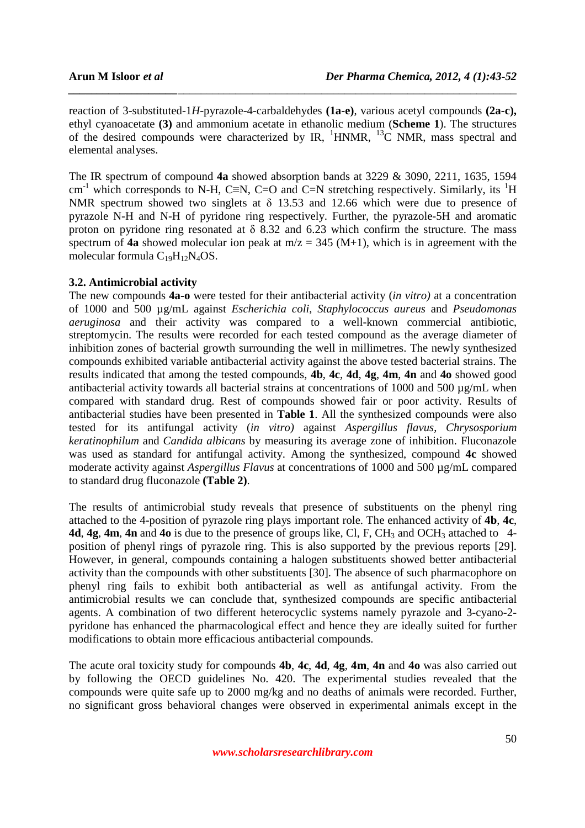reaction of 3-substituted-1*H*-pyrazole-4-carbaldehydes **(1a-e)**, various acetyl compounds **(2a-c),**  ethyl cyanoacetate **(3)** and ammonium acetate in ethanolic medium (**Scheme 1**). The structures of the desired compounds were characterized by IR,  $^1$ HNMR,  $^{13}$ C NMR, mass spectral and elemental analyses.

*\_\_\_\_\_\_\_\_\_\_\_\_\_\_\_\_\_\_\_\_\_\_\_\_\_\_\_\_\_\_\_\_\_\_\_\_\_\_\_\_\_\_\_\_\_\_\_\_\_\_\_\_\_\_\_\_\_\_\_\_\_\_\_\_\_\_\_\_\_\_\_\_\_\_\_\_\_\_*

The IR spectrum of compound **4a** showed absorption bands at 3229 & 3090, 2211, 1635, 1594 cm<sup>-1</sup> which corresponds to N-H, C≡N, C=O and C=N stretching respectively. Similarly, its <sup>1</sup>H NMR spectrum showed two singlets at δ 13.53 and 12.66 which were due to presence of pyrazole N-H and N-H of pyridone ring respectively. Further, the pyrazole-5H and aromatic proton on pyridone ring resonated at  $\delta$  8.32 and 6.23 which confirm the structure. The mass spectrum of **4a** showed molecular ion peak at  $m/z = 345$  (M+1), which is in agreement with the molecular formula  $C_{19}H_{12}N_4OS$ .

# **3.2. Antimicrobial activity**

The new compounds **4a-o** were tested for their antibacterial activity (*in vitro)* at a concentration of 1000 and 500 µg/mL against *Escherichia coli*, *Staphylococcus aureus* and *Pseudomonas aeruginosa* and their activity was compared to a well-known commercial antibiotic, streptomycin. The results were recorded for each tested compound as the average diameter of inhibition zones of bacterial growth surrounding the well in millimetres. The newly synthesized compounds exhibited variable antibacterial activity against the above tested bacterial strains. The results indicated that among the tested compounds, **4b**, **4c**, **4d**, **4g**, **4m**, **4n** and **4o** showed good antibacterial activity towards all bacterial strains at concentrations of 1000 and 500  $\mu$ g/mL when compared with standard drug. Rest of compounds showed fair or poor activity. Results of antibacterial studies have been presented in **Table 1**. All the synthesized compounds were also tested for its antifungal activity (*in vitro)* against *Aspergillus flavus*, *Chrysosporium keratinophilum* and *Candida albicans* by measuring its average zone of inhibition. Fluconazole was used as standard for antifungal activity. Among the synthesized, compound **4c** showed moderate activity against *Aspergillus Flavus* at concentrations of 1000 and 500 µg/mL compared to standard drug fluconazole **(Table 2)**.

The results of antimicrobial study reveals that presence of substituents on the phenyl ring attached to the 4-position of pyrazole ring plays important role. The enhanced activity of **4b**, **4c**, **4d, 4g, 4m, 4n** and 4o is due to the presence of groups like, Cl, F, CH<sub>3</sub> and OCH<sub>3</sub> attached to 4position of phenyl rings of pyrazole ring. This is also supported by the previous reports [29]. However, in general, compounds containing a halogen substituents showed better antibacterial activity than the compounds with other substituents [30]. The absence of such pharmacophore on phenyl ring fails to exhibit both antibacterial as well as antifungal activity. From the antimicrobial results we can conclude that, synthesized compounds are specific antibacterial agents. A combination of two different heterocyclic systems namely pyrazole and 3-cyano-2 pyridone has enhanced the pharmacological effect and hence they are ideally suited for further modifications to obtain more efficacious antibacterial compounds.

The acute oral toxicity study for compounds **4b**, **4c**, **4d**, **4g**, **4m**, **4n** and **4o** was also carried out by following the OECD guidelines No. 420. The experimental studies revealed that the compounds were quite safe up to 2000 mg/kg and no deaths of animals were recorded. Further, no significant gross behavioral changes were observed in experimental animals except in the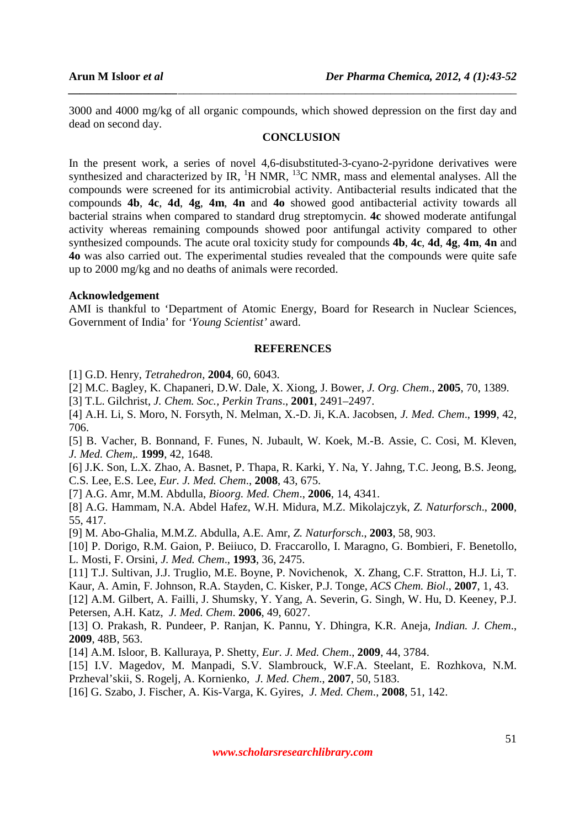3000 and 4000 mg/kg of all organic compounds, which showed depression on the first day and dead on second day.

*\_\_\_\_\_\_\_\_\_\_\_\_\_\_\_\_\_\_\_\_\_\_\_\_\_\_\_\_\_\_\_\_\_\_\_\_\_\_\_\_\_\_\_\_\_\_\_\_\_\_\_\_\_\_\_\_\_\_\_\_\_\_\_\_\_\_\_\_\_\_\_\_\_\_\_\_\_\_*

# **CONCLUSION**

In the present work, a series of novel 4,6-disubstituted-3-cyano-2-pyridone derivatives were synthesized and characterized by IR,  ${}^{1}$ H NMR,  ${}^{13}$ C NMR, mass and elemental analyses. All the compounds were screened for its antimicrobial activity. Antibacterial results indicated that the compounds **4b**, **4c**, **4d**, **4g**, **4m**, **4n** and **4o** showed good antibacterial activity towards all bacterial strains when compared to standard drug streptomycin. **4c** showed moderate antifungal activity whereas remaining compounds showed poor antifungal activity compared to other synthesized compounds. The acute oral toxicity study for compounds **4b**, **4c**, **4d**, **4g**, **4m**, **4n** and **4o** was also carried out. The experimental studies revealed that the compounds were quite safe up to 2000 mg/kg and no deaths of animals were recorded.

## **Acknowledgement**

AMI is thankful to 'Department of Atomic Energy, Board for Research in Nuclear Sciences, Government of India' for *'Young Scientist'* award.

# **REFERENCES**

[1] G.D. Henry, *Tetrahedron,* **2004**, 60, 6043.

[2] M.C. Bagley, K. Chapaneri, D.W. Dale, X. Xiong, J. Bower, *J. Org. Chem*., **2005**, 70, 1389.

[3] T.L. Gilchrist, *J. Chem. Soc., Perkin Trans*., **2001**, 2491–2497.

[4] A.H. Li, S. Moro, N. Forsyth, N. Melman, X.-D. Ji, K.A. Jacobsen, *J. Med. Chem*., **1999**, 42, 706.

[5] B. Vacher, B. Bonnand, F. Funes, N. Jubault, W. Koek, M.-B. Assie, C. Cosi, M. Kleven, *J. Med. Chem,.* **1999**, 42, 1648.

[6] J.K. Son, L.X. Zhao, A. Basnet, P. Thapa, R. Karki, Y. Na, Y. Jahng, T.C. Jeong, B.S. Jeong, C.S. Lee, E.S. Lee, *Eur. J. Med. Chem*., **2008**, 43, 675.

[7] A.G. Amr, M.M. Abdulla, *Bioorg. Med. Chem*., **2006**, 14, 4341.

[8] A.G. Hammam, N.A. Abdel Hafez, W.H. Midura, M.Z. Mikolajczyk, *Z. Naturforsch*., **2000**, 55, 417.

[9] M. Abo-Ghalia, M.M.Z. Abdulla, A.E. Amr, *Z. Naturforsch*., **2003**, 58, 903.

[10] P. Dorigo, R.M. Gaion, P. Beiiuco, D. Fraccarollo, I. Maragno, G. Bombieri, F. Benetollo, L. Mosti, F. Orsini, *J. Med. Chem*., **1993**, 36, 2475.

[11] T.J. Sultivan, J.J. Truglio, M.E. Boyne, P. Novichenok, X. Zhang, C.F. Stratton, H.J. Li, T. Kaur, A. Amin, F. Johnson, R.A. Stayden, C. Kisker, P.J. Tonge, *ACS Chem. Biol*., **2007**, 1, 43.

[12] A.M. Gilbert, A. Failli, J. Shumsky, Y. Yang, A. Severin, G. Singh, W. Hu, D. Keeney, P.J. Petersen, A.H. Katz, *J. Med. Chem*. **2006**, 49, 6027.

[13] O. Prakash, R. Pundeer, P. Ranjan, K. Pannu, Y. Dhingra, K.R. Aneja, *Indian. J. Chem*., **2009**, 48B, 563.

[14] A.M. Isloor, B. Kalluraya, P. Shetty, *Eur. J. Med. Chem*., **2009**, 44, 3784.

[15] I.V. Magedov, M. Manpadi, S.V. Slambrouck, W.F.A. Steelant, E. Rozhkova, N.M. Przheval'skii, S. Rogelj, A. Kornienko, *J. Med. Chem*., **2007**, 50, 5183.

[16] G. Szabo, J. Fischer, A. Kis-Varga, K. Gyires, *J. Med. Chem*., **2008**, 51, 142.